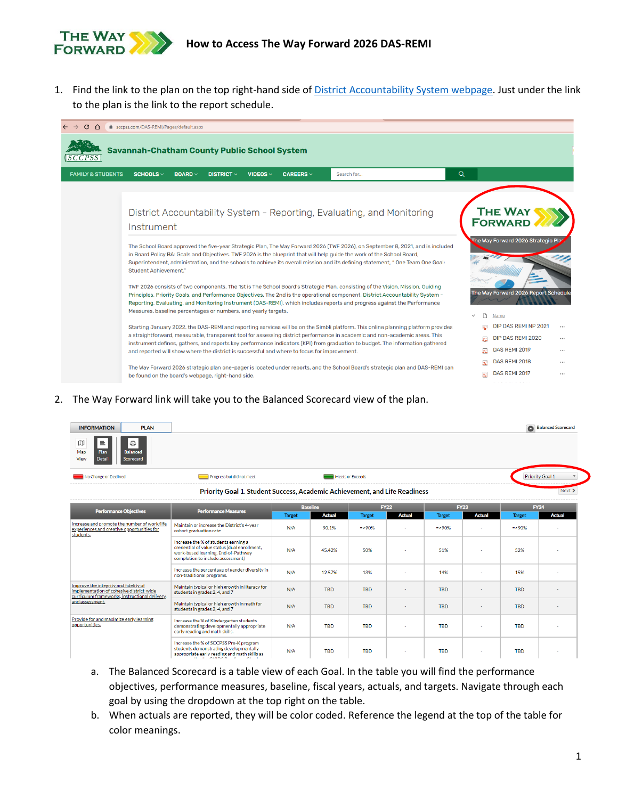

1. Find the link to the plan on the top right-hand side o[f District Accountability System webpage.](https://www.sccpss.com/DAS-REMI/Pages/default.aspx) Just under the link to the plan is the link to the report schedule.



## 2. The Way Forward link will take you to the Balanced Scorecard view of the plan.

| <b>INFORMATION</b><br><b>PLAN</b>                                                                          |                           |                                                                            | Balanced Scorecard |
|------------------------------------------------------------------------------------------------------------|---------------------------|----------------------------------------------------------------------------|--------------------|
| $\hfill\ensuremath{\mathbb{D}}$<br>亟<br>≞<br>Map<br>Balanced<br>Plan<br>View<br>Scorecard<br><b>Detail</b> |                           |                                                                            |                    |
| No Change or Declined                                                                                      | Progress but did not meet | Meets or Exceeds                                                           | Priority Goal 1    |
|                                                                                                            |                           | Priority Goal 1. Student Success, Academic Achievement, and Life Readiness | Next >             |

| Priority Goal 1. Student Success, Academic Achievement, and Life Readiness |  |
|----------------------------------------------------------------------------|--|
|                                                                            |  |

| <b>Performance Objectives</b>                                                                                                       | <b>Performance Measures</b>                                                                                                                                                                | <b>Baseline</b> |               | <b>FY22</b>   |               | <b>FY23</b>   |               | <b>FY24</b>   |               |
|-------------------------------------------------------------------------------------------------------------------------------------|--------------------------------------------------------------------------------------------------------------------------------------------------------------------------------------------|-----------------|---------------|---------------|---------------|---------------|---------------|---------------|---------------|
|                                                                                                                                     |                                                                                                                                                                                            | <b>Target</b>   | <b>Actual</b> | <b>Target</b> | <b>Actual</b> | <b>Target</b> | <b>Actual</b> | <b>Target</b> | <b>Actual</b> |
| Increase and promote the number of work/life<br>experiences and creative opportunities for<br>students.                             | Maintain or increase the District's 4-year<br>cohort graduation rate                                                                                                                       | N/A             | 90.1%         | $-90%$        | $\sim$        | $=$ >90%      |               | $=$ >90%      |               |
|                                                                                                                                     | Increase the % of students earning a<br>credential of value status (dual enrollment,<br>work-based learning, End-of-Pathway<br>completion to include assessment)                           | N/A             | 45.42%        | 50%           |               | 51%           |               | 52%           |               |
|                                                                                                                                     | Increase the percentage of gender diversity in<br>non-traditional programs.                                                                                                                | N/A             | 12.57%        | 13%           | ٠             | 14%           | $\sim$        | 15%           |               |
| Improve the integrity and fidelity of<br>implementation of cohesive district-wide<br>curriculum frameworks, instructional delivery, | Maintain typical or high growth in literacy for<br>students in grades 2, 4, and 7                                                                                                          | N/A             | <b>TBD</b>    | <b>TBD</b>    | ٠             | <b>TBD</b>    | -             | <b>TBD</b>    |               |
| and assessment.                                                                                                                     | Maintain typical or high growth in math for<br>students in grades 2, 4, and 7                                                                                                              | N/A             | <b>TBD</b>    | <b>TBD</b>    | ۰             | <b>TBD</b>    |               | <b>TBD</b>    |               |
| Provide for and maximize early learning<br>opportunities.                                                                           | Increase the % of Kindergarten students<br>demonstrating developmentally appropriate<br>early reading and math skills.                                                                     | N/A             | <b>TBD</b>    | <b>TBD</b>    |               | <b>TBD</b>    |               | <b>TBD</b>    |               |
|                                                                                                                                     | Increase the % of SCCPSS Pre-K program<br>students demonstrating developmentally<br>appropriate early reading and math skills as<br>$\mathbf{u}$ $\mathbf{u}$ expects $\mathbf{v}$ expects | N/A             | <b>TBD</b>    | <b>TBD</b>    | ۰             | <b>TBD</b>    | ٠             | <b>TBD</b>    | $\sim$        |

- a. The Balanced Scorecard is a table view of each Goal. In the table you will find the performance objectives, performance measures, baseline, fiscal years, actuals, and targets. Navigate through each goal by using the dropdown at the top right on the table.
- b. When actuals are reported, they will be color coded. Reference the legend at the top of the table for color meanings.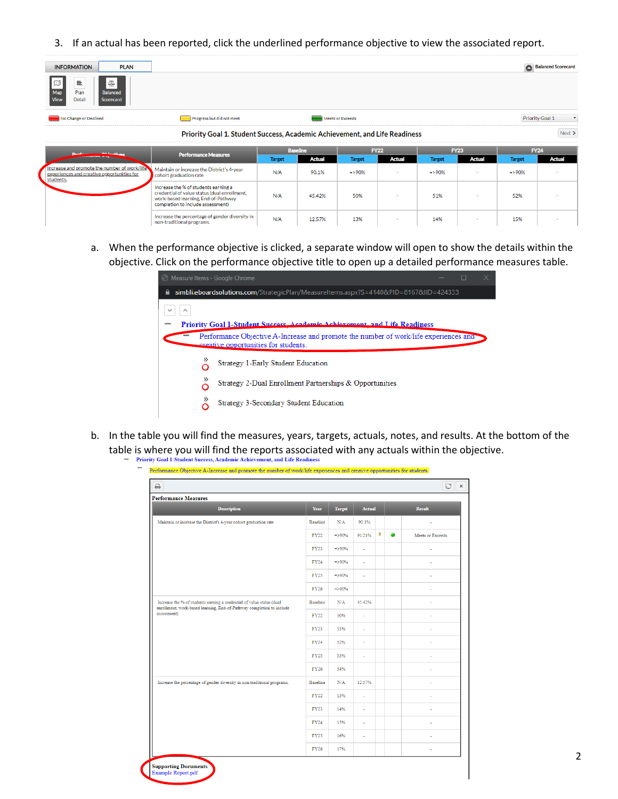3. If an actual has been reported, click the underlined performance objective to view the associated report.

| <b>INFORMATION</b><br><b>PLAN</b>                                                                      |                                                                                                                                                                  |               |                 |                  |               |               |               |               | Balanced Scorecard            |
|--------------------------------------------------------------------------------------------------------|------------------------------------------------------------------------------------------------------------------------------------------------------------------|---------------|-----------------|------------------|---------------|---------------|---------------|---------------|-------------------------------|
| ΙW<br>亖<br>₫<br>Map<br>Plan<br>Balanced<br><b>View</b><br>Detail<br>Scorecard                          |                                                                                                                                                                  |               |                 |                  |               |               |               |               |                               |
| No Change or Declined                                                                                  | Progress but did not meet                                                                                                                                        |               |                 | Meets or Exceeds |               |               |               |               | Priority Goal 1<br>$\check{}$ |
|                                                                                                        | Priority Goal 1. Student Success, Academic Achievement, and Life Readiness                                                                                       |               |                 |                  |               |               |               |               | $Next$ >                      |
|                                                                                                        |                                                                                                                                                                  |               | <b>Baseline</b> |                  | <b>FY22</b>   |               | <b>FY23</b>   |               | <b>FY24</b>                   |
|                                                                                                        | <b>Performance Measures</b>                                                                                                                                      | <b>Target</b> | <b>Actual</b>   | <b>Target</b>    | <b>Actual</b> | <b>Target</b> | <b>Actual</b> | <b>Target</b> | <b>Actual</b>                 |
| ncrease and promote the number of work/life<br>experiences and creative opportunities for<br>students. | Maintain or increase the District's 4-year<br>cohort graduation rate                                                                                             | N/A           | 90.1%           | $=$ >90%         | $\sim$        | $=$ >90%      | ۰             | $=$ >90%      |                               |
|                                                                                                        | Increase the % of students earning a<br>credential of value status (dual enrollment,<br>work-based learning, End-of-Pathway<br>completion to include assessment) | N/A           | 45.42%          | 50%              | $\sim$        | 51%           | ٠             | 52%           | $\sim$                        |
|                                                                                                        | Increase the percentage of gender diversity in                                                                                                                   | N/A           | 12.57%          | 13%              | $\sim$        | 14%           |               | 15%           | ۰                             |

non-traditional programs

a. When the performance objective is clicked, a separate window will open to show the details within the objective. Click on the performance objective title to open up a detailed performance measures table.



- b. In the table you will find the measures, years, targets, actuals, notes, and results. At the bottom of the table is where you will find the reports associated with any actuals within the objective.<br>- Priority Goal 1-Student Success, Academic Achievement, and Life Readiness
	- Performance Objective A-Increase and promote the number of work life experiences and creative opportunities for students.

| <b>Performance Measures</b>                                                                                                                    |                 |               |               |   |   |                  |
|------------------------------------------------------------------------------------------------------------------------------------------------|-----------------|---------------|---------------|---|---|------------------|
| <b>Description</b>                                                                                                                             | <b>Year</b>     | <b>Target</b> | <b>Actual</b> |   |   | <b>Result</b>    |
| Maintain or increase the District's 4-year cohort graduation rate                                                                              | <b>Baseline</b> | N/A           | 90.1%         |   |   |                  |
|                                                                                                                                                | <b>FY22</b>     | $=$ >90%      | 91.21%        | ø | ● | Meets or Exceeds |
|                                                                                                                                                | FY23            | $=$ >90%      | ä,            |   |   | J.               |
|                                                                                                                                                | FY24            | $=$ >90%      | ×,            |   |   |                  |
|                                                                                                                                                | <b>FY25</b>     | $=$ >90%      | ×,            |   |   |                  |
|                                                                                                                                                | FY26            | $=$ >90%      |               |   |   | ï                |
| Increase the % of students earning a credential of value status (dual<br>enrollment, work-based learning, End-of-Pathway completion to include | <b>Baseline</b> | N/A           | 45.42%        |   |   |                  |
| assessment)                                                                                                                                    | FY22            | 50%           | ä,            |   |   |                  |
|                                                                                                                                                | FY23            | 51%           | ä,            |   |   | i,               |
|                                                                                                                                                | FY24            | 52%           | ×             |   |   |                  |
|                                                                                                                                                | FY25            | 53%           | ä,            |   |   |                  |
|                                                                                                                                                | FY26            | 54%           |               |   |   |                  |
| Increase the percentage of gender diversity in non-traditional programs.                                                                       | <b>Baseline</b> | N/A           | 12.57%        |   |   |                  |
|                                                                                                                                                | <b>FY22</b>     | 13%           | ä,            |   |   |                  |
|                                                                                                                                                | FY23            | 14%           | ä,            |   |   |                  |
|                                                                                                                                                | FY24            | 15%           | ÷,            |   |   |                  |
|                                                                                                                                                | FY25            | 16%           | ×             |   |   |                  |
|                                                                                                                                                | <b>FY26</b>     | 17%           |               |   |   | ä,               |